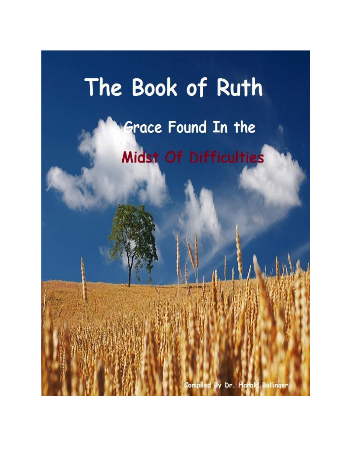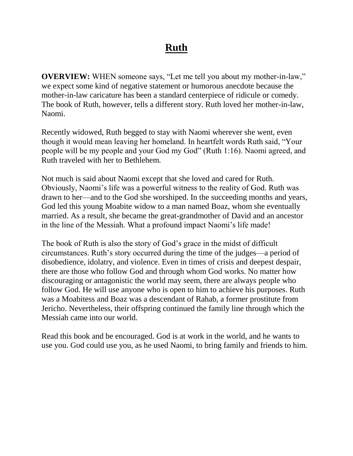# **[Ruth](http://www.bibleonthenet.com/Ruth.htm)**

**OVERVIEW:** WHEN someone says, "Let me tell you about my mother-in-law," we expect some kind of negative statement or humorous anecdote because the mother-in-law caricature has been a standard centerpiece of ridicule or comedy. The book of Ruth, however, tells a different story. Ruth loved her mother-in-law, Naomi.

Recently widowed, Ruth begged to stay with Naomi wherever she went, even though it would mean leaving her homeland. In heartfelt words Ruth said, "Your people will be my people and your God my God" (Ruth 1:16). Naomi agreed, and Ruth traveled with her to Bethlehem.

Not much is said about Naomi except that she loved and cared for Ruth. Obviously, Naomi's life was a powerful witness to the reality of God. Ruth was drawn to her—and to the God she worshiped. In the succeeding months and years, God led this young Moabite widow to a man named Boaz, whom she eventually married. As a result, she became the great-grandmother of David and an ancestor in the line of the Messiah. What a profound impact Naomi's life made!

The book of Ruth is also the story of God's grace in the midst of difficult circumstances. Ruth's story occurred during the time of the judges—a period of disobedience, idolatry, and violence. Even in times of crisis and deepest despair, there are those who follow God and through whom God works. No matter how discouraging or antagonistic the world may seem, there are always people who follow God. He will use anyone who is open to him to achieve his purposes. Ruth was a Moabitess and Boaz was a descendant of Rahab, a former prostitute from Jericho. Nevertheless, their offspring continued the family line through which the Messiah came into our world.

Read this book and be encouraged. God is at work in the world, and he wants to use you. God could use you, as he used Naomi, to bring family and friends to him.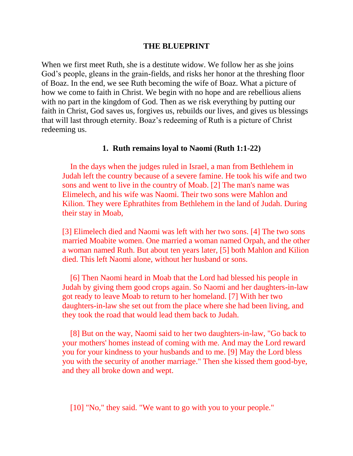#### **THE BLUEPRINT**

When we first meet Ruth, she is a destitute widow. We follow her as she joins God's people, gleans in the grain-fields, and risks her honor at the threshing floor of Boaz. In the end, we see Ruth becoming the wife of Boaz. What a picture of how we come to faith in Christ. We begin with no hope and are rebellious aliens with no part in the kingdom of God. Then as we risk everything by putting our faith in Christ, God saves us, forgives us, rebuilds our lives, and gives us blessings that will last through eternity. Boaz's redeeming of Ruth is a picture of Christ redeeming us.

#### **1. Ruth remains loyal to Naomi (Ruth 1:1-22)**

 In the days when the judges ruled in Israel, a man from Bethlehem in Judah left the country because of a severe famine. He took his wife and two sons and went to live in the country of Moab. [2] The man's name was Elimelech, and his wife was Naomi. Their two sons were Mahlon and Kilion. They were Ephrathites from Bethlehem in the land of Judah. During their stay in Moab,

[3] Elimelech died and Naomi was left with her two sons. [4] The two sons married Moabite women. One married a woman named Orpah, and the other a woman named Ruth. But about ten years later, [5] both Mahlon and Kilion died. This left Naomi alone, without her husband or sons.

 [6] Then Naomi heard in Moab that the Lord had blessed his people in Judah by giving them good crops again. So Naomi and her daughters-in-law got ready to leave Moab to return to her homeland. [7] With her two daughters-in-law she set out from the place where she had been living, and they took the road that would lead them back to Judah.

 [8] But on the way, Naomi said to her two daughters-in-law, "Go back to your mothers' homes instead of coming with me. And may the Lord reward you for your kindness to your husbands and to me. [9] May the Lord bless you with the security of another marriage." Then she kissed them good-bye, and they all broke down and wept.

[10] "No," they said. "We want to go with you to your people."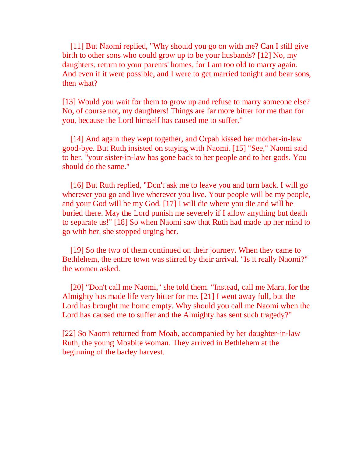[11] But Naomi replied, "Why should you go on with me? Can I still give birth to other sons who could grow up to be your husbands? [12] No, my daughters, return to your parents' homes, for I am too old to marry again. And even if it were possible, and I were to get married tonight and bear sons, then what?

[13] Would you wait for them to grow up and refuse to marry someone else? No, of course not, my daughters! Things are far more bitter for me than for you, because the Lord himself has caused me to suffer."

 [14] And again they wept together, and Orpah kissed her mother-in-law good-bye. But Ruth insisted on staying with Naomi. [15] "See," Naomi said to her, "your sister-in-law has gone back to her people and to her gods. You should do the same."

 [16] But Ruth replied, "Don't ask me to leave you and turn back. I will go wherever you go and live wherever you live. Your people will be my people, and your God will be my God. [17] I will die where you die and will be buried there. May the Lord punish me severely if I allow anything but death to separate us!" [18] So when Naomi saw that Ruth had made up her mind to go with her, she stopped urging her.

 [19] So the two of them continued on their journey. When they came to Bethlehem, the entire town was stirred by their arrival. "Is it really Naomi?" the women asked.

 [20] "Don't call me Naomi," she told them. "Instead, call me Mara, for the Almighty has made life very bitter for me. [21] I went away full, but the Lord has brought me home empty. Why should you call me Naomi when the Lord has caused me to suffer and the Almighty has sent such tragedy?"

[22] So Naomi returned from Moab, accompanied by her daughter-in-law Ruth, the young Moabite woman. They arrived in Bethlehem at the beginning of the barley harvest.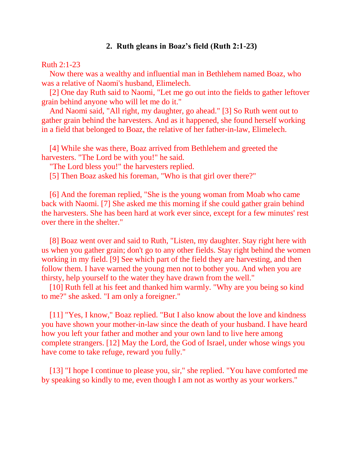#### **2. Ruth gleans in Boaz's field (Ruth 2:1-23)**

Ruth 2:1-23

 Now there was a wealthy and influential man in Bethlehem named Boaz, who was a relative of Naomi's husband, Elimelech.

 [2] One day Ruth said to Naomi, "Let me go out into the fields to gather leftover grain behind anyone who will let me do it."

 And Naomi said, "All right, my daughter, go ahead." [3] So Ruth went out to gather grain behind the harvesters. And as it happened, she found herself working in a field that belonged to Boaz, the relative of her father-in-law, Elimelech.

 [4] While she was there, Boaz arrived from Bethlehem and greeted the harvesters. "The Lord be with you!" he said.

"The Lord bless you!" the harvesters replied.

[5] Then Boaz asked his foreman, "Who is that girl over there?"

 [6] And the foreman replied, "She is the young woman from Moab who came back with Naomi. [7] She asked me this morning if she could gather grain behind the harvesters. She has been hard at work ever since, except for a few minutes' rest over there in the shelter."

 [8] Boaz went over and said to Ruth, "Listen, my daughter. Stay right here with us when you gather grain; don't go to any other fields. Stay right behind the women working in my field. [9] See which part of the field they are harvesting, and then follow them. I have warned the young men not to bother you. And when you are thirsty, help yourself to the water they have drawn from the well."

 [10] Ruth fell at his feet and thanked him warmly. "Why are you being so kind to me?" she asked. "I am only a foreigner."

 [11] "Yes, I know," Boaz replied. "But I also know about the love and kindness you have shown your mother-in-law since the death of your husband. I have heard how you left your father and mother and your own land to live here among complete strangers. [12] May the Lord, the God of Israel, under whose wings you have come to take refuge, reward you fully."

 [13] "I hope I continue to please you, sir," she replied. "You have comforted me by speaking so kindly to me, even though I am not as worthy as your workers."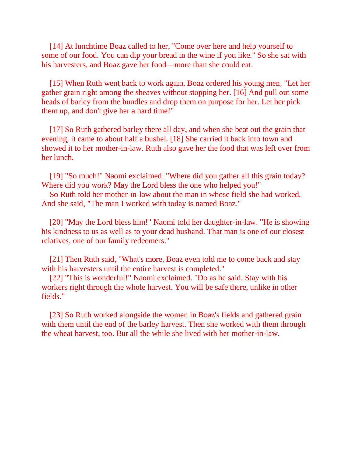[14] At lunchtime Boaz called to her, "Come over here and help yourself to some of our food. You can dip your bread in the wine if you like." So she sat with his harvesters, and Boaz gave her food—more than she could eat.

 [15] When Ruth went back to work again, Boaz ordered his young men, "Let her gather grain right among the sheaves without stopping her. [16] And pull out some heads of barley from the bundles and drop them on purpose for her. Let her pick them up, and don't give her a hard time!"

 [17] So Ruth gathered barley there all day, and when she beat out the grain that evening, it came to about half a bushel. [18] She carried it back into town and showed it to her mother-in-law. Ruth also gave her the food that was left over from her lunch.

 [19] "So much!" Naomi exclaimed. "Where did you gather all this grain today? Where did you work? May the Lord bless the one who helped you!"

 So Ruth told her mother-in-law about the man in whose field she had worked. And she said, "The man I worked with today is named Boaz."

 [20] "May the Lord bless him!" Naomi told her daughter-in-law. "He is showing his kindness to us as well as to your dead husband. That man is one of our closest relatives, one of our family redeemers."

 [21] Then Ruth said, "What's more, Boaz even told me to come back and stay with his harvesters until the entire harvest is completed."

 [22] "This is wonderful!" Naomi exclaimed. "Do as he said. Stay with his workers right through the whole harvest. You will be safe there, unlike in other fields."

 [23] So Ruth worked alongside the women in Boaz's fields and gathered grain with them until the end of the barley harvest. Then she worked with them through the wheat harvest, too. But all the while she lived with her mother-in-law.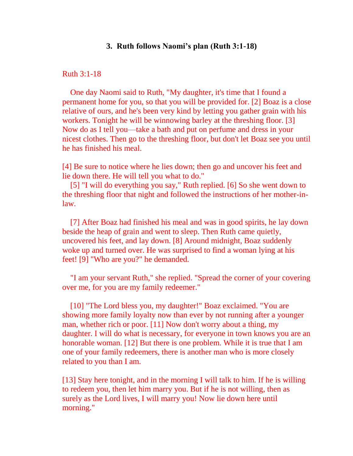#### **3. Ruth follows Naomi's plan (Ruth 3:1-18)**

Ruth 3:1-18

 One day Naomi said to Ruth, "My daughter, it's time that I found a permanent home for you, so that you will be provided for. [2] Boaz is a close relative of ours, and he's been very kind by letting you gather grain with his workers. Tonight he will be winnowing barley at the threshing floor. [3] Now do as I tell you—take a bath and put on perfume and dress in your nicest clothes. Then go to the threshing floor, but don't let Boaz see you until he has finished his meal.

[4] Be sure to notice where he lies down; then go and uncover his feet and lie down there. He will tell you what to do."

 [5] "I will do everything you say," Ruth replied. [6] So she went down to the threshing floor that night and followed the instructions of her mother-inlaw.

 [7] After Boaz had finished his meal and was in good spirits, he lay down beside the heap of grain and went to sleep. Then Ruth came quietly, uncovered his feet, and lay down. [8] Around midnight, Boaz suddenly woke up and turned over. He was surprised to find a woman lying at his feet! [9] "Who are you?" he demanded.

 "I am your servant Ruth," she replied. "Spread the corner of your covering over me, for you are my family redeemer."

 [10] "The Lord bless you, my daughter!" Boaz exclaimed. "You are showing more family loyalty now than ever by not running after a younger man, whether rich or poor. [11] Now don't worry about a thing, my daughter. I will do what is necessary, for everyone in town knows you are an honorable woman. [12] But there is one problem. While it is true that I am one of your family redeemers, there is another man who is more closely related to you than I am.

[13] Stay here tonight, and in the morning I will talk to him. If he is willing to redeem you, then let him marry you. But if he is not willing, then as surely as the Lord lives, I will marry you! Now lie down here until morning."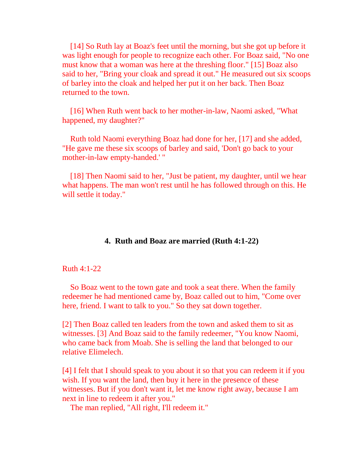[14] So Ruth lay at Boaz's feet until the morning, but she got up before it was light enough for people to recognize each other. For Boaz said, "No one must know that a woman was here at the threshing floor." [15] Boaz also said to her, "Bring your cloak and spread it out." He measured out six scoops of barley into the cloak and helped her put it on her back. Then Boaz returned to the town.

 [16] When Ruth went back to her mother-in-law, Naomi asked, "What happened, my daughter?"

 Ruth told Naomi everything Boaz had done for her, [17] and she added, "He gave me these six scoops of barley and said, 'Don't go back to your mother-in-law empty-handed.' "

 [18] Then Naomi said to her, "Just be patient, my daughter, until we hear what happens. The man won't rest until he has followed through on this. He will settle it today."

#### **4. Ruth and Boaz are married (Ruth 4:1-22)**

#### Ruth 4:1-22

 So Boaz went to the town gate and took a seat there. When the family redeemer he had mentioned came by, Boaz called out to him, "Come over here, friend. I want to talk to you." So they sat down together.

[2] Then Boaz called ten leaders from the town and asked them to sit as witnesses. [3] And Boaz said to the family redeemer, "You know Naomi, who came back from Moab. She is selling the land that belonged to our relative Elimelech.

[4] I felt that I should speak to you about it so that you can redeem it if you wish. If you want the land, then buy it here in the presence of these witnesses. But if you don't want it, let me know right away, because I am next in line to redeem it after you."

The man replied, "All right, I'll redeem it."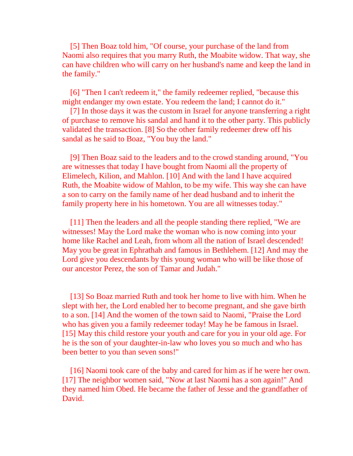[5] Then Boaz told him, "Of course, your purchase of the land from Naomi also requires that you marry Ruth, the Moabite widow. That way, she can have children who will carry on her husband's name and keep the land in the family."

 [6] "Then I can't redeem it," the family redeemer replied, "because this might endanger my own estate. You redeem the land; I cannot do it."

 [7] In those days it was the custom in Israel for anyone transferring a right of purchase to remove his sandal and hand it to the other party. This publicly validated the transaction. [8] So the other family redeemer drew off his sandal as he said to Boaz, "You buy the land."

 [9] Then Boaz said to the leaders and to the crowd standing around, "You are witnesses that today I have bought from Naomi all the property of Elimelech, Kilion, and Mahlon. [10] And with the land I have acquired Ruth, the Moabite widow of Mahlon, to be my wife. This way she can have a son to carry on the family name of her dead husband and to inherit the family property here in his hometown. You are all witnesses today."

 [11] Then the leaders and all the people standing there replied, "We are witnesses! May the Lord make the woman who is now coming into your home like Rachel and Leah, from whom all the nation of Israel descended! May you be great in Ephrathah and famous in Bethlehem. [12] And may the Lord give you descendants by this young woman who will be like those of our ancestor Perez, the son of Tamar and Judah."

 [13] So Boaz married Ruth and took her home to live with him. When he slept with her, the Lord enabled her to become pregnant, and she gave birth to a son. [14] And the women of the town said to Naomi, "Praise the Lord who has given you a family redeemer today! May he be famous in Israel. [15] May this child restore your youth and care for you in your old age. For he is the son of your daughter-in-law who loves you so much and who has been better to you than seven sons!"

[16] Naomi took care of the baby and cared for him as if he were her own. [17] The neighbor women said, "Now at last Naomi has a son again!" And they named him Obed. He became the father of Jesse and the grandfather of David.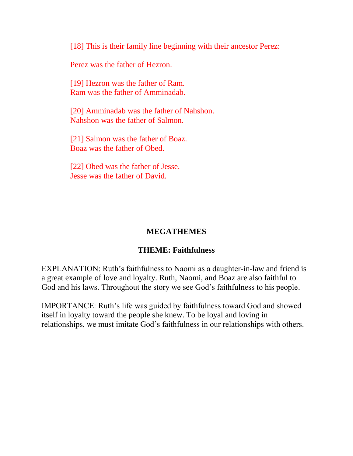[18] This is their family line beginning with their ancestor Perez:

Perez was the father of Hezron.

 [19] Hezron was the father of Ram. Ram was the father of Amminadab.

 [20] Amminadab was the father of Nahshon. Nahshon was the father of Salmon.

[21] Salmon was the father of Boaz. Boaz was the father of Obed.

 [22] Obed was the father of Jesse. Jesse was the father of David.

## **MEGATHEMES**

## **THEME: Faithfulness**

EXPLANATION: Ruth's faithfulness to Naomi as a daughter-in-law and friend is a great example of love and loyalty. Ruth, Naomi, and Boaz are also faithful to God and his laws. Throughout the story we see God's faithfulness to his people.

IMPORTANCE: Ruth's life was guided by faithfulness toward God and showed itself in loyalty toward the people she knew. To be loyal and loving in relationships, we must imitate God's faithfulness in our relationships with others.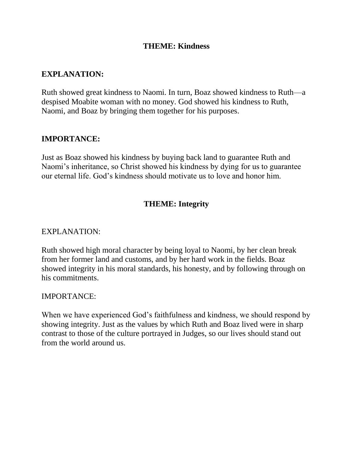# **THEME: Kindness**

## **EXPLANATION:**

Ruth showed great kindness to Naomi. In turn, Boaz showed kindness to Ruth—a despised Moabite woman with no money. God showed his kindness to Ruth, Naomi, and Boaz by bringing them together for his purposes.

# **IMPORTANCE:**

Just as Boaz showed his kindness by buying back land to guarantee Ruth and Naomi's inheritance, so Christ showed his kindness by dying for us to guarantee our eternal life. God's kindness should motivate us to love and honor him.

# **THEME: Integrity**

### EXPLANATION:

Ruth showed high moral character by being loyal to Naomi, by her clean break from her former land and customs, and by her hard work in the fields. Boaz showed integrity in his moral standards, his honesty, and by following through on his commitments.

#### IMPORTANCE:

When we have experienced God's faithfulness and kindness, we should respond by showing integrity. Just as the values by which Ruth and Boaz lived were in sharp contrast to those of the culture portrayed in Judges, so our lives should stand out from the world around us.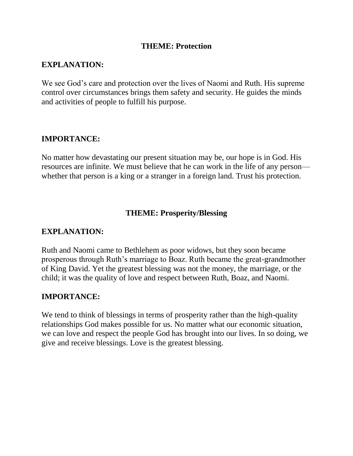### **THEME: Protection**

## **EXPLANATION:**

We see God's care and protection over the lives of Naomi and Ruth. His supreme control over circumstances brings them safety and security. He guides the minds and activities of people to fulfill his purpose.

## **IMPORTANCE:**

No matter how devastating our present situation may be, our hope is in God. His resources are infinite. We must believe that he can work in the life of any person whether that person is a king or a stranger in a foreign land. Trust his protection.

## **THEME: Prosperity/Blessing**

#### **EXPLANATION:**

Ruth and Naomi came to Bethlehem as poor widows, but they soon became prosperous through Ruth's marriage to Boaz. Ruth became the great-grandmother of King David. Yet the greatest blessing was not the money, the marriage, or the child; it was the quality of love and respect between Ruth, Boaz, and Naomi.

#### **IMPORTANCE:**

We tend to think of blessings in terms of prosperity rather than the high-quality relationships God makes possible for us. No matter what our economic situation, we can love and respect the people God has brought into our lives. In so doing, we give and receive blessings. Love is the greatest blessing.